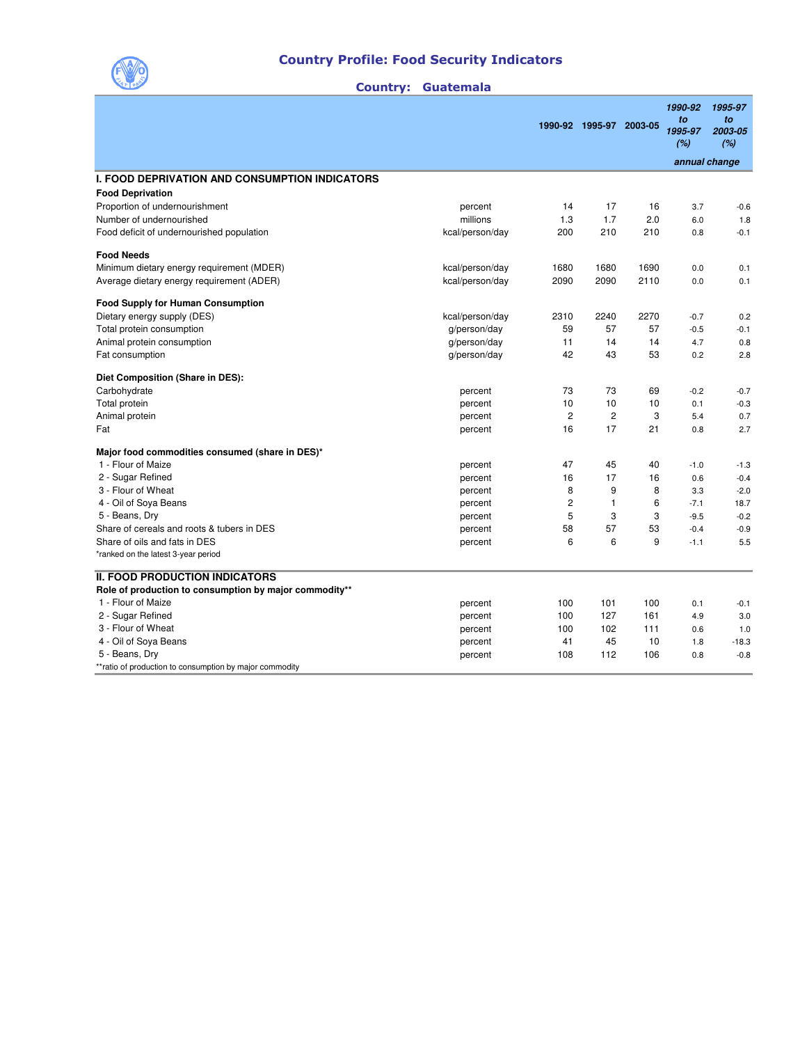

## Country Profile: Food Security Indicators

| <b>Country:</b> | <b>Guatemala</b> |
|-----------------|------------------|
|-----------------|------------------|

|                                                                      |                 |                | 1990-92 1995-97 2003-05 |      | 1990-92<br>to<br>1995-97<br>(%) | 1995-97<br>to<br>2003-05<br>(%) |
|----------------------------------------------------------------------|-----------------|----------------|-------------------------|------|---------------------------------|---------------------------------|
|                                                                      |                 |                |                         |      | annual change                   |                                 |
| <b>I. FOOD DEPRIVATION AND CONSUMPTION INDICATORS</b>                |                 |                |                         |      |                                 |                                 |
| <b>Food Deprivation</b>                                              |                 |                |                         |      |                                 |                                 |
| Proportion of undernourishment                                       | percent         | 14             | 17                      | 16   | 3.7                             | $-0.6$                          |
| Number of undernourished                                             | millions        | 1.3            | 1.7                     | 2.0  | 6.0                             | 1.8                             |
| Food deficit of undernourished population                            | kcal/person/day | 200            | 210                     | 210  | 0.8                             | $-0.1$                          |
| <b>Food Needs</b>                                                    |                 |                |                         |      |                                 |                                 |
| Minimum dietary energy requirement (MDER)                            | kcal/person/day | 1680           | 1680                    | 1690 | 0.0                             | 0.1                             |
| Average dietary energy requirement (ADER)                            | kcal/person/day | 2090           | 2090                    | 2110 | 0.0                             | 0.1                             |
| <b>Food Supply for Human Consumption</b>                             |                 |                |                         |      |                                 |                                 |
| Dietary energy supply (DES)                                          | kcal/person/day | 2310           | 2240                    | 2270 | $-0.7$                          | 0.2                             |
| Total protein consumption                                            | g/person/day    | 59             | 57                      | 57   | $-0.5$                          | $-0.1$                          |
| Animal protein consumption                                           | g/person/day    | 11             | 14                      | 14   | 4.7                             | 0.8                             |
| Fat consumption                                                      | g/person/day    | 42             | 43                      | 53   | 0.2                             | 2.8                             |
| Diet Composition (Share in DES):                                     |                 |                |                         |      |                                 |                                 |
| Carbohydrate                                                         | percent         | 73             | 73                      | 69   | $-0.2$                          | $-0.7$                          |
| Total protein                                                        | percent         | 10             | 10                      | 10   | 0.1                             | $-0.3$                          |
| Animal protein                                                       | percent         | $\overline{c}$ | $\overline{c}$          | 3    | 5.4                             | 0.7                             |
| Fat                                                                  | percent         | 16             | 17                      | 21   | 0.8                             | 2.7                             |
| Major food commodities consumed (share in DES)*                      |                 |                |                         |      |                                 |                                 |
| 1 - Flour of Maize                                                   | percent         | 47             | 45                      | 40   | $-1.0$                          | $-1.3$                          |
| 2 - Sugar Refined                                                    | percent         | 16             | 17                      | 16   | 0.6                             | $-0.4$                          |
| 3 - Flour of Wheat                                                   | percent         | 8              | 9                       | 8    | 3.3                             | $-2.0$                          |
| 4 - Oil of Soya Beans                                                | percent         | 2              | 1                       | 6    | $-7.1$                          | 18.7                            |
| 5 - Beans, Dry                                                       | percent         | 5              | 3                       | 3    | $-9.5$                          | $-0.2$                          |
| Share of cereals and roots & tubers in DES                           | percent         | 58             | 57                      | 53   | $-0.4$                          | $-0.9$                          |
| Share of oils and fats in DES<br>*ranked on the latest 3-year period | percent         | 6              | 6                       | 9    | $-1.1$                          | 5.5                             |
| <b>II. FOOD PRODUCTION INDICATORS</b>                                |                 |                |                         |      |                                 |                                 |
| Role of production to consumption by major commodity**               |                 |                |                         |      |                                 |                                 |
| 1 - Flour of Maize                                                   | percent         | 100            | 101                     | 100  | 0.1                             | $-0.1$                          |
| 2 - Sugar Refined                                                    | percent         | 100            | 127                     | 161  | 4.9                             | 3.0                             |
| 3 - Flour of Wheat                                                   | percent         | 100            | 102                     | 111  | 0.6                             | 1.0                             |
| 4 - Oil of Soya Beans                                                | percent         | 41             | 45                      | 10   | 1.8                             | $-18.3$                         |
| 5 - Beans, Dry                                                       | percent         | 108            | 112                     | 106  | 0.8                             | $-0.8$                          |
| **ratio of production to consumption by major commodity              |                 |                |                         |      |                                 |                                 |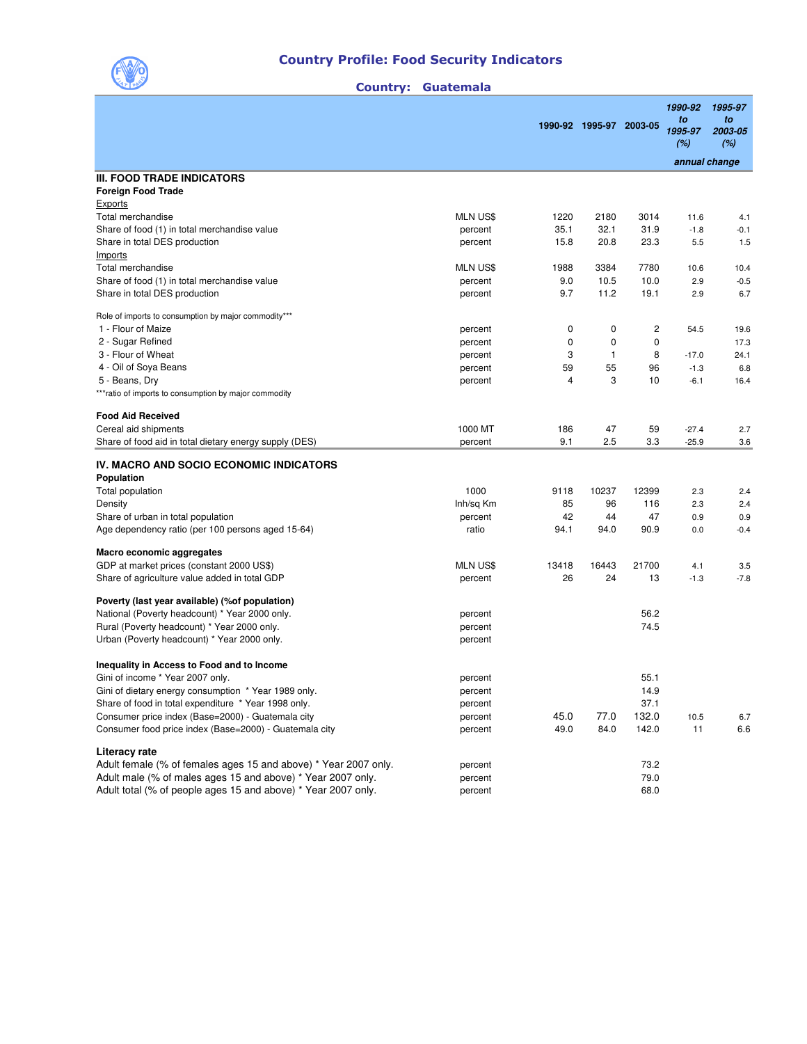

## Country Profile: Food Security Indicators

## Country: Guatemala

|                                                                 |                    |            |              | 1990-92 1995-97 2003-05 | 1990-92<br>to<br>1995-97<br>(%) | 1995-97<br>to<br>2003-05<br>(%) |
|-----------------------------------------------------------------|--------------------|------------|--------------|-------------------------|---------------------------------|---------------------------------|
|                                                                 |                    |            |              |                         |                                 | annual change                   |
| <b>III. FOOD TRADE INDICATORS</b>                               |                    |            |              |                         |                                 |                                 |
| <b>Foreign Food Trade</b>                                       |                    |            |              |                         |                                 |                                 |
| <b>Exports</b>                                                  |                    |            |              |                         |                                 |                                 |
| <b>Total merchandise</b>                                        | <b>MLN US\$</b>    | 1220       | 2180         | 3014                    | 11.6                            | 4.1                             |
| Share of food (1) in total merchandise value                    | percent            | 35.1       | 32.1         | 31.9                    | $-1.8$                          | $-0.1$                          |
| Share in total DES production                                   | percent            | 15.8       | 20.8         | 23.3                    | 5.5                             | 1.5                             |
| <i><u><b>Imports</b></u></i>                                    |                    |            |              |                         |                                 |                                 |
| <b>Total merchandise</b>                                        | MLN US\$           | 1988       | 3384<br>10.5 | 7780<br>10.0            | 10.6                            | 10.4                            |
| Share of food (1) in total merchandise value                    | percent<br>percent | 9.0<br>9.7 | 11.2         | 19.1                    | 2.9<br>2.9                      | $-0.5$<br>6.7                   |
| Share in total DES production                                   |                    |            |              |                         |                                 |                                 |
| Role of imports to consumption by major commodity***            |                    |            |              |                         |                                 |                                 |
| 1 - Flour of Maize                                              | percent            | 0          | 0            | 2                       | 54.5                            | 19.6                            |
| 2 - Sugar Refined                                               | percent            | 0          | 0            | 0                       |                                 | 17.3                            |
| 3 - Flour of Wheat                                              | percent            | 3          | 1            | 8                       | $-17.0$                         | 24.1                            |
| 4 - Oil of Soya Beans                                           | percent            | 59         | 55           | 96                      | $-1.3$                          | 6.8                             |
| 5 - Beans, Dry                                                  | percent            | 4          | 3            | 10                      | $-6.1$                          | 16.4                            |
| ***ratio of imports to consumption by major commodity           |                    |            |              |                         |                                 |                                 |
| <b>Food Aid Received</b>                                        |                    |            |              |                         |                                 |                                 |
| Cereal aid shipments                                            | 1000 MT            | 186        | 47           | 59                      | $-27.4$                         | 2.7                             |
| Share of food aid in total dietary energy supply (DES)          | percent            | 9.1        | 2.5          | 3.3                     | $-25.9$                         | 3.6                             |
| IV. MACRO AND SOCIO ECONOMIC INDICATORS                         |                    |            |              |                         |                                 |                                 |
| Population                                                      |                    |            |              |                         |                                 |                                 |
| <b>Total population</b>                                         | 1000               | 9118       | 10237        | 12399                   | 2.3                             | 2.4                             |
| Density                                                         | Inh/sq Km          | 85         | 96           | 116                     | 2.3                             | 2.4                             |
| Share of urban in total population                              | percent            | 42         | 44           | 47                      | 0.9                             | 0.9                             |
| Age dependency ratio (per 100 persons aged 15-64)               | ratio              | 94.1       | 94.0         | 90.9                    | 0.0                             | $-0.4$                          |
| Macro economic aggregates                                       |                    |            |              |                         |                                 |                                 |
| GDP at market prices (constant 2000 US\$)                       | <b>MLN US\$</b>    | 13418      | 16443        | 21700                   | 4.1                             | 3.5                             |
| Share of agriculture value added in total GDP                   | percent            | 26         | 24           | 13                      | $-1.3$                          | $-7.8$                          |
| Poverty (last year available) (% of population)                 |                    |            |              |                         |                                 |                                 |
| National (Poverty headcount) * Year 2000 only.                  | percent            |            |              | 56.2                    |                                 |                                 |
| Rural (Poverty headcount) * Year 2000 only.                     | percent            |            |              | 74.5                    |                                 |                                 |
| Urban (Poverty headcount) * Year 2000 only.                     | percent            |            |              |                         |                                 |                                 |
| Inequality in Access to Food and to Income                      |                    |            |              |                         |                                 |                                 |
| Gini of income * Year 2007 only.                                | percent            |            |              | 55.1                    |                                 |                                 |
| Gini of dietary energy consumption * Year 1989 only.            | percent            |            |              | 14.9                    |                                 |                                 |
| Share of food in total expenditure * Year 1998 only.            | percent            |            |              | 37.1                    |                                 |                                 |
| Consumer price index (Base=2000) - Guatemala city               | percent            | 45.0       | 77.0         | 132.0                   | 10.5                            | 6.7                             |
| Consumer food price index (Base=2000) - Guatemala city          | percent            | 49.0       | 84.0         | 142.0                   | 11                              | 6.6                             |
| Literacy rate                                                   |                    |            |              |                         |                                 |                                 |
| Adult female (% of females ages 15 and above) * Year 2007 only. | percent            |            |              | 73.2                    |                                 |                                 |
| Adult male (% of males ages 15 and above) * Year 2007 only.     | percent            |            |              | 79.0                    |                                 |                                 |
| Adult total (% of people ages 15 and above) * Year 2007 only.   | percent            |            |              | 68.0                    |                                 |                                 |